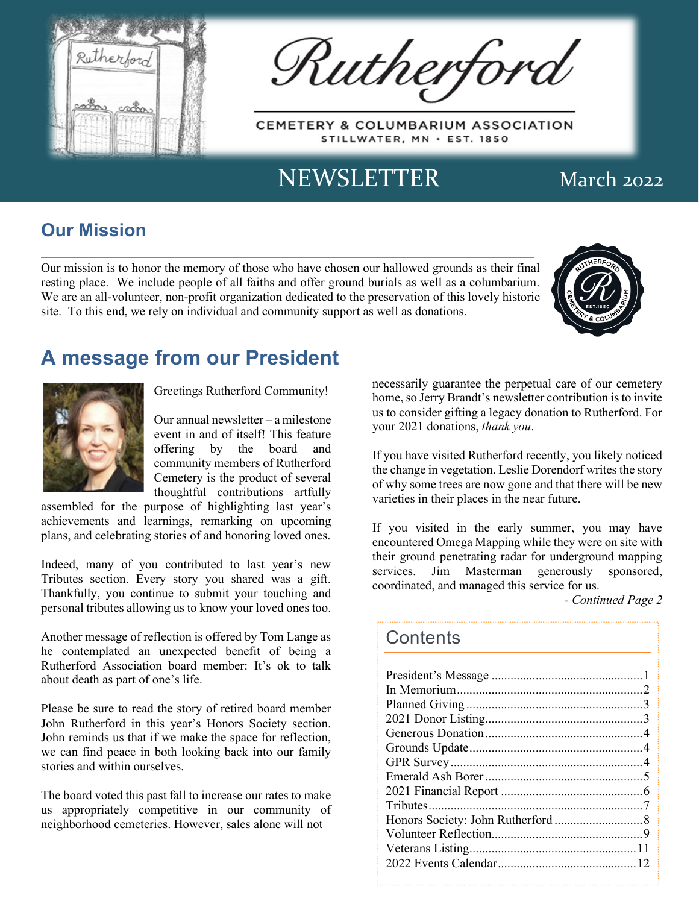

Rutherford

CEMETERY & COLUMBARIUM ASSOCIATION STILLWATER, MN · EST. 1850

# NEWSLETTER March 2022

## **Our Mission**

Our mission is to honor the memory of those who have chosen our hallowed grounds as their final resting place. We include people of all faiths and offer ground burials as well as a columbarium. We are an all-volunteer, non-profit organization dedicated to the preservation of this lovely historic site. To this end, we rely on individual and community support as well as donations.



## **A message from our President**



Greetings Rutherford Community!

Our annual newsletter – a milestone event in and of itself! This feature offering by the board and community members of Rutherford Cemetery is the product of several thoughtful contributions artfully

assembled for the purpose of highlighting last year's achievements and learnings, remarking on upcoming plans, and celebrating stories of and honoring loved ones.

Indeed, many of you contributed to last year's new Tributes section. Every story you shared was a gift. Thankfully, you continue to submit your touching and personal tributes allowing us to know your loved ones too.

Another message of reflection is offered by Tom Lange as he contemplated an unexpected benefit of being a Rutherford Association board member: It's ok to talk about death as part of one's life.

Please be sure to read the story of retired board member John Rutherford in this year's Honors Society section. John reminds us that if we make the space for reflection, we can find peace in both looking back into our family stories and within ourselves.

The board voted this past fall to increase our rates to make us appropriately competitive in our community of neighborhood cemeteries. However, sales alone will not

necessarily guarantee the perpetual care of our cemetery home, so Jerry Brandt's newsletter contribution is to invite us to consider gifting a legacy donation to Rutherford. For your 2021 donations, *thank you*.

If you have visited Rutherford recently, you likely noticed the change in vegetation. Leslie Dorendorf writes the story of why some trees are now gone and that there will be new varieties in their places in the near future.

If you visited in the early summer, you may have encountered Omega Mapping while they were on site with their ground penetrating radar for underground mapping services. Jim Masterman generously sponsored, coordinated, and managed this service for us.

*- Continued Page 2*

### **Contents**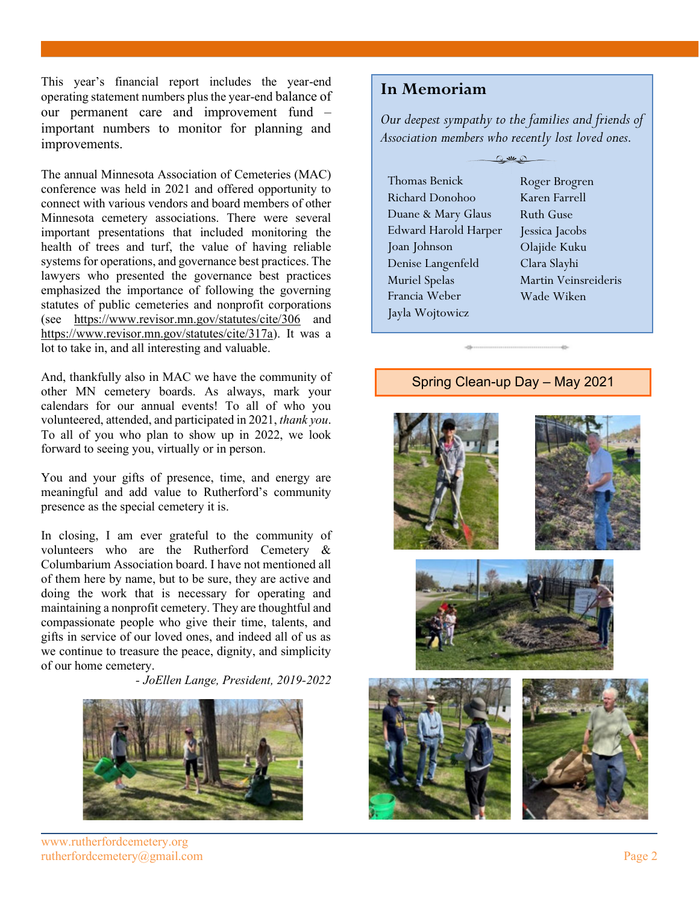This year's financial report includes the year-end operating statement numbers plus the year-end balance of our permanent care and improvement fund – important numbers to monitor for planning and improvements.

The annual Minnesota Association of Cemeteries (MAC) conference was held in 2021 and offered opportunity to connect with various vendors and board members of other Minnesota cemetery associations. There were several important presentations that included monitoring the health of trees and turf, the value of having reliable systems for operations, and governance best practices. The lawyers who presented the governance best practices emphasized the importance of following the governing statutes of public cemeteries and nonprofit corporations (see https://www.revisor.mn.gov/statutes/cite/306 and https://www.revisor.mn.gov/statutes/cite/317a). It was a lot to take in, and all interesting and valuable.

And, thankfully also in MAC we have the community of other MN cemetery boards. As always, mark your calendars for our annual events! To all of who you volunteered, attended, and participated in 2021, *thank you*. To all of you who plan to show up in 2022, we look forward to seeing you, virtually or in person.

You and your gifts of presence, time, and energy are meaningful and add value to Rutherford's community presence as the special cemetery it is.

In closing, I am ever grateful to the community of volunteers who are the Rutherford Cemetery & Columbarium Association board. I have not mentioned all of them here by name, but to be sure, they are active and doing the work that is necessary for operating and maintaining a nonprofit cemetery. They are thoughtful and compassionate people who give their time, talents, and gifts in service of our loved ones, and indeed all of us as we continue to treasure the peace, dignity, and simplicity of our home cemetery.

*- JoEllen Lange, President, 2019-2022*



www.rutherfordcemetery.org rutherfordcemetery@gmail.com Page 2

### **In Memoriam**

*Our deepest sympathy to the families and friends of Association members who recently lost loved ones.*

| <b>Thomas Benick</b>        | Roger Brogren        |
|-----------------------------|----------------------|
| Richard Donohoo             | Karen Farrell        |
| Duane & Mary Glaus          | Ruth Guse            |
| <b>Edward Harold Harper</b> | Jessica Jacobs       |
| Joan Johnson                | Olajide Kuku         |
| Denise Langenfeld           | Clara Slayhi         |
| <b>Muriel Spelas</b>        | Martin Veinsreideris |
| Francia Weber               | Wade Wiken           |
| Jayla Wojtowicz             |                      |
|                             |                      |

### Spring Clean-up Day – May 2021

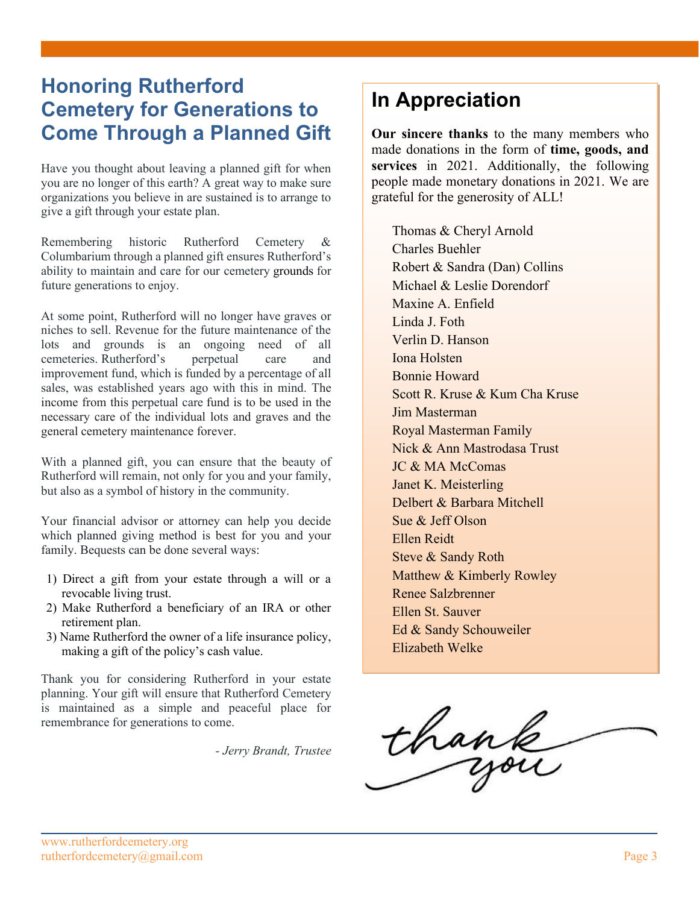## **Honoring Rutherford Cemetery for Generations to Come Through a Planned Gift**

Have you thought about leaving a planned gift for when you are no longer of this earth? A great way to make sure organizations you believe in are sustained is to arrange to give a gift through your estate plan.

Remembering historic Rutherford Cemetery & Columbarium through a planned gift ensures Rutherford's ability to maintain and care for our cemetery grounds for future generations to enjoy.

At some point, Rutherford will no longer have graves or niches to sell. Revenue for the future maintenance of the lots and grounds is an ongoing need of all cemeteries. Rutherford's perpetual care and improvement fund, which is funded by a percentage of all sales, was established years ago with this in mind. The income from this perpetual care fund is to be used in the necessary care of the individual lots and graves and the general cemetery maintenance forever.

With a planned gift, you can ensure that the beauty of Rutherford will remain, not only for you and your family, but also as a symbol of history in the community.

Your financial advisor or attorney can help you decide which planned giving method is best for you and your family. Bequests can be done several ways:

- 1) Direct a gift from your estate through a will or a revocable living trust.
- 2) Make Rutherford a beneficiary of an IRA or other retirement plan.
- 3) Name Rutherford the owner of a life insurance policy, making a gift of the policy's cash value.

Thank you for considering Rutherford in your estate planning. Your gift will ensure that Rutherford Cemetery is maintained as a simple and peaceful place for remembrance for generations to come.

*- Jerry Brandt, Trustee*

# **In Appreciation**

**Our sincere thanks** to the many members who made donations in the form of **time, goods, and services** in 2021. Additionally, the following people made monetary donations in 2021. We are grateful for the generosity of ALL!

Thomas & Cheryl Arnold Charles Buehler Robert & Sandra (Dan) Collins Michael & Leslie Dorendorf Maxine A. Enfield Linda J. Foth Verlin D. Hanson Iona Holsten Bonnie Howard Scott R. Kruse & Kum Cha Kruse Jim Masterman Royal Masterman Family Nick & Ann Mastrodasa Trust JC & MA McComas Janet K. Meisterling Delbert & Barbara Mitchell Sue & Jeff Olson Ellen Reidt Steve & Sandy Roth Matthew & Kimberly Rowley Renee Salzbrenner Ellen St. Sauver Ed & Sandy Schouweiler Elizabeth Welke

thank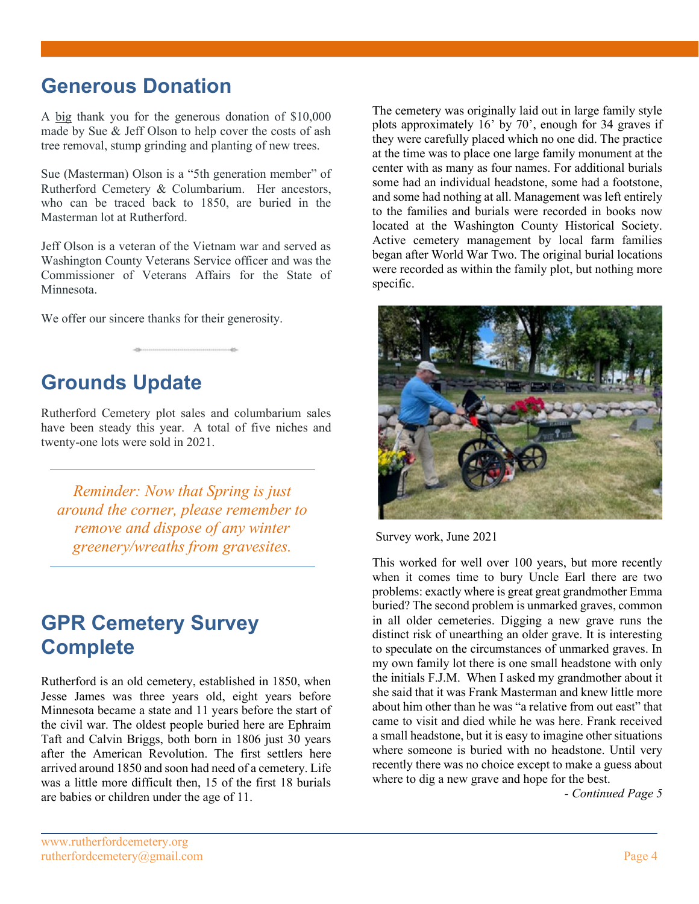## **Generous Donation**

A big thank you for the generous donation of \$10,000 made by Sue & Jeff Olson to help cover the costs of ash tree removal, stump grinding and planting of new trees.

Sue (Masterman) Olson is a "5th generation member" of Rutherford Cemetery & Columbarium. Her ancestors, who can be traced back to 1850, are buried in the Masterman lot at Rutherford.

Jeff Olson is a veteran of the Vietnam war and served as Washington County Veterans Service officer and was the Commissioner of Veterans Affairs for the State of Minnesota.

We offer our sincere thanks for their generosity.

# **Grounds Update**

Rutherford Cemetery plot sales and columbarium sales have been steady this year. A total of five niches and twenty-one lots were sold in 2021.

*Reminder: Now that Spring is just around the corner, please remember to remove and dispose of any winter greenery/wreaths from gravesites.*

## **GPR Cemetery Survey Complete**

Rutherford is an old cemetery, established in 1850, when Jesse James was three years old, eight years before Minnesota became a state and 11 years before the start of the civil war. The oldest people buried here are Ephraim Taft and Calvin Briggs, both born in 1806 just 30 years after the American Revolution. The first settlers here arrived around 1850 and soon had need of a cemetery. Life was a little more difficult then, 15 of the first 18 burials are babies or children under the age of 11.

The cemetery was originally laid out in large family style plots approximately 16' by 70', enough for 34 graves if they were carefully placed which no one did. The practice at the time was to place one large family monument at the center with as many as four names. For additional burials some had an individual headstone, some had a footstone, and some had nothing at all. Management was left entirely to the families and burials were recorded in books now located at the Washington County Historical Society. Active cemetery management by local farm families began after World War Two. The original burial locations were recorded as within the family plot, but nothing more specific.



Survey work, June 2021

This worked for well over 100 years, but more recently when it comes time to bury Uncle Earl there are two problems: exactly where is great great grandmother Emma buried? The second problem is unmarked graves, common in all older cemeteries. Digging a new grave runs the distinct risk of unearthing an older grave. It is interesting to speculate on the circumstances of unmarked graves. In my own family lot there is one small headstone with only the initials F.J.M. When I asked my grandmother about it she said that it was Frank Masterman and knew little more about him other than he was "a relative from out east" that came to visit and died while he was here. Frank received a small headstone, but it is easy to imagine other situations where someone is buried with no headstone. Until very recently there was no choice except to make a guess about where to dig a new grave and hope for the best.

*- Continued Page 5*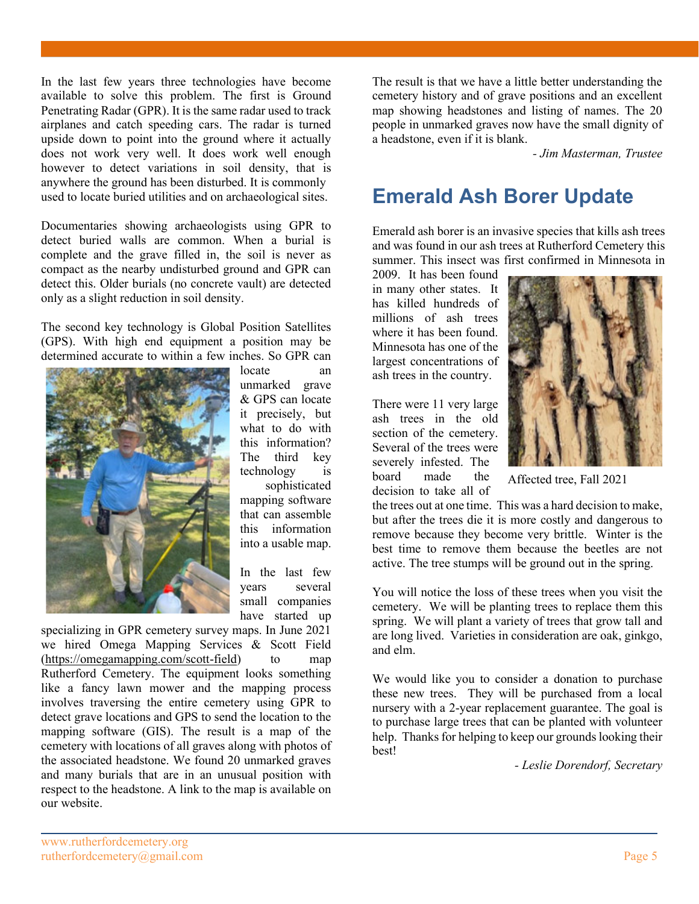In the last few years three technologies have become available to solve this problem. The first is Ground Penetrating Radar (GPR). It is the same radar used to track airplanes and catch speeding cars. The radar is turned upside down to point into the ground where it actually does not work very well. It does work well enough however to detect variations in soil density, that is anywhere the ground has been disturbed. It is commonly used to locate buried utilities and on archaeological sites.

Documentaries showing archaeologists using GPR to detect buried walls are common. When a burial is complete and the grave filled in, the soil is never as compact as the nearby undisturbed ground and GPR can detect this. Older burials (no concrete vault) are detected only as a slight reduction in soil density.

The second key technology is Global Position Satellites (GPS). With high end equipment a position may be determined accurate to within a few inches. So GPR can



unmarked grave & GPS can locate it precisely, but what to do with this information? The third key technology is sophisticated mapping software that can assemble this information into a usable map.

locate an

In the last few years several small companies have started up

specializing in GPR cemetery survey maps. In June 2021 we hired Omega Mapping Services & Scott Field (https://omegamapping.com/scott-field) to map Rutherford Cemetery. The equipment looks something like a fancy lawn mower and the mapping process involves traversing the entire cemetery using GPR to detect grave locations and GPS to send the location to the mapping software (GIS). The result is a map of the cemetery with locations of all graves along with photos of the associated headstone. We found 20 unmarked graves and many burials that are in an unusual position with respect to the headstone. A link to the map is available on our website.

The result is that we have a little better understanding the cemetery history and of grave positions and an excellent map showing headstones and listing of names. The 20 people in unmarked graves now have the small dignity of a headstone, even if it is blank.

*- Jim Masterman, Trustee*

## **Emerald Ash Borer Update**

Emerald ash borer is an invasive species that kills ash trees and was found in our ash trees at Rutherford Cemetery this summer. This insect was first confirmed in Minnesota in

2009. It has been found in many other states. It has killed hundreds of millions of ash trees where it has been found. Minnesota has one of the largest concentrations of ash trees in the country.

There were 11 very large ash trees in the old section of the cemetery. Several of the trees were severely infested. The board made the decision to take all of



Affected tree, Fall 2021

the trees out at one time. This was a hard decision to make, but after the trees die it is more costly and dangerous to remove because they become very brittle. Winter is the best time to remove them because the beetles are not active. The tree stumps will be ground out in the spring.

You will notice the loss of these trees when you visit the cemetery. We will be planting trees to replace them this spring. We will plant a variety of trees that grow tall and are long lived. Varieties in consideration are oak, ginkgo, and elm.

We would like you to consider a donation to purchase these new trees. They will be purchased from a local nursery with a 2-year replacement guarantee. The goal is to purchase large trees that can be planted with volunteer help. Thanks for helping to keep our grounds looking their best!

*- Leslie Dorendorf, Secretary*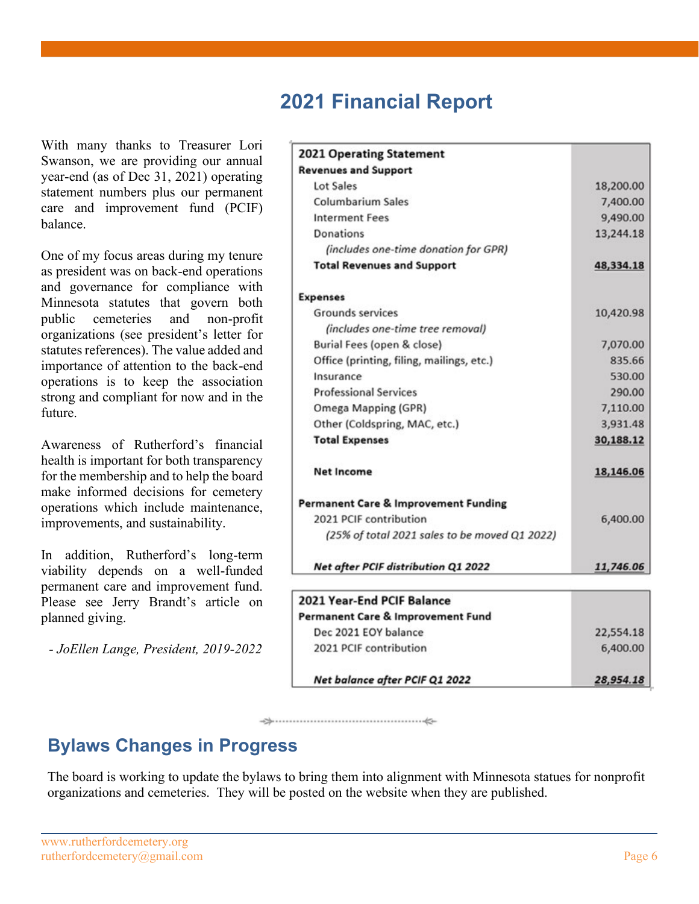## **2021 Financial Report**

With many thanks to Treasurer Lori Swanson, we are providing our annual year-end (as of Dec 31, 2021) operating statement numbers plus our permanent care and improvement fund (PCIF) balance.

One of my focus areas during my tenure as president was on back-end operations and governance for compliance with Minnesota statutes that govern both public cemeteries and non-profit organizations (see president's letter for statutes references). The value added and importance of attention to the back-end operations is to keep the association strong and compliant for now and in the future.

Awareness of Rutherford's financial health is important for both transparency for the membership and to help the board make informed decisions for cemetery operations which include maintenance, improvements, and sustainability.

In addition, Rutherford's long-term viability depends on a well-funded permanent care and improvement fund. Please see Jerry Brandt's article on planned giving.

*- JoEllen Lange, President, 2019-2022*

| <b>2021 Operating Statement</b>                                                                                                                                                                                            |                                                                                          |                                                 |           |
|----------------------------------------------------------------------------------------------------------------------------------------------------------------------------------------------------------------------------|------------------------------------------------------------------------------------------|-------------------------------------------------|-----------|
| <b>Revenues and Support</b>                                                                                                                                                                                                |                                                                                          |                                                 |           |
| Lot Sales                                                                                                                                                                                                                  | 18,200.00                                                                                |                                                 |           |
| <b>Columbarium Sales</b><br><b>Interment Fees</b><br>Donations                                                                                                                                                             | 7,400.00<br>9,490.00<br>13,244.18                                                        |                                                 |           |
|                                                                                                                                                                                                                            |                                                                                          | (includes one-time donation for GPR)            |           |
|                                                                                                                                                                                                                            |                                                                                          | <b>Total Revenues and Support</b>               | 48,334.18 |
| <b>Expenses</b>                                                                                                                                                                                                            |                                                                                          |                                                 |           |
| <b>Grounds services</b>                                                                                                                                                                                                    | 10,420.98                                                                                |                                                 |           |
| (includes one-time tree removal)                                                                                                                                                                                           |                                                                                          |                                                 |           |
| Burial Fees (open & close)<br>Office (printing, filing, mailings, etc.)<br>Insurance<br><b>Professional Services</b><br>Omega Mapping (GPR)<br>Other (Coldspring, MAC, etc.)<br><b>Total Expenses</b><br><b>Net Income</b> | 7,070.00<br>835.66<br>530.00<br>290.00<br>7,110.00<br>3,931.48<br>30,188.12<br>18,146.06 |                                                 |           |
|                                                                                                                                                                                                                            |                                                                                          | <b>Permanent Care &amp; Improvement Funding</b> |           |
|                                                                                                                                                                                                                            |                                                                                          | 2021 PCIF contribution                          | 6,400.00  |
|                                                                                                                                                                                                                            |                                                                                          | (25% of total 2021 sales to be moved Q1 2022)   |           |
|                                                                                                                                                                                                                            |                                                                                          | Net after PCIF distribution Q1 2022             | 11,746.06 |
|                                                                                                                                                                                                                            |                                                                                          | 2021 Year-End PCIF Balance                      |           |
|                                                                                                                                                                                                                            |                                                                                          | Permanent Care & Improvement Fund               |           |
|                                                                                                                                                                                                                            |                                                                                          | Dec 2021 EOY balance                            | 22,554.18 |
| 2021 PCIF contribution                                                                                                                                                                                                     | 6,400.00                                                                                 |                                                 |           |
| Net balance after PCIF Q1 2022                                                                                                                                                                                             | 28,954.18                                                                                |                                                 |           |

## **Bylaws Changes in Progress**

The board is working to update the bylaws to bring them into alignment with Minnesota statues for nonprofit organizations and cemeteries. They will be posted on the website when they are published.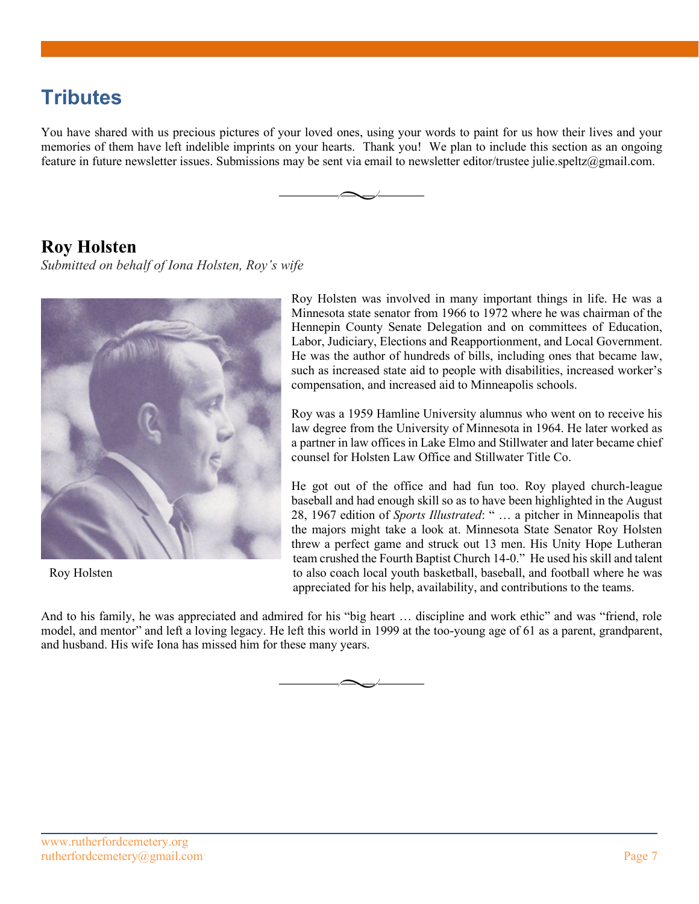# **Tributes**

You have shared with us precious pictures of your loved ones, using your words to paint for us how their lives and your memories of them have left indelible imprints on your hearts. Thank you! We plan to include this section as an ongoing feature in future newsletter issues. Submissions may be sent via email to newsletter editor/trustee julie.speltz@gmail.com.



### **Roy Holsten**

*Submitted on behalf of Iona Holsten, Roy's wife*



Roy Holsten

Roy Holsten was involved in many important things in life. He was a Minnesota state senator from 1966 to 1972 where he was chairman of the Hennepin County Senate Delegation and on committees of Education, Labor, Judiciary, Elections and Reapportionment, and Local Government. He was the author of hundreds of bills, including ones that became law, such as increased state aid to people with disabilities, increased worker's compensation, and increased aid to Minneapolis schools.

Roy was a 1959 Hamline University alumnus who went on to receive his law degree from the University of Minnesota in 1964. He later worked as a partner in law offices in Lake Elmo and Stillwater and later became chief counsel for Holsten Law Office and Stillwater Title Co.

He got out of the office and had fun too. Roy played church-league baseball and had enough skill so as to have been highlighted in the August 28, 1967 edition of *Sports Illustrated*: " … a pitcher in Minneapolis that the majors might take a look at. Minnesota State Senator Roy Holsten threw a perfect game and struck out 13 men. His Unity Hope Lutheran team crushed the Fourth Baptist Church 14-0." He used his skill and talent to also coach local youth basketball, baseball, and football where he was appreciated for his help, availability, and contributions to the teams.

And to his family, he was appreciated and admired for his "big heart … discipline and work ethic" and was "friend, role model, and mentor" and left a loving legacy. He left this world in 1999 at the too-young age of 61 as a parent, grandparent, and husband. His wife Iona has missed him for these many years.

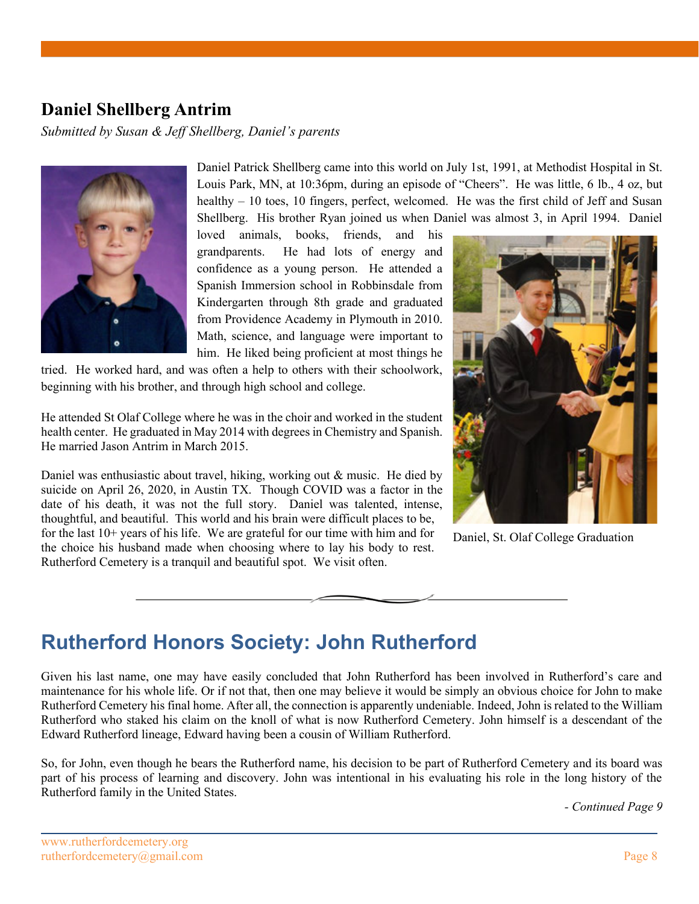## **Daniel Shellberg Antrim**

*Submitted by Susan & Jeff Shellberg, Daniel's parents*



Daniel Patrick Shellberg came into this world on July 1st, 1991, at Methodist Hospital in St. Louis Park, MN, at 10:36pm, during an episode of "Cheers". He was little, 6 lb., 4 oz, but healthy – 10 toes, 10 fingers, perfect, welcomed. He was the first child of Jeff and Susan Shellberg. His brother Ryan joined us when Daniel was almost 3, in April 1994. Daniel

loved animals, books, friends, and his grandparents. He had lots of energy and confidence as a young person. He attended a Spanish Immersion school in Robbinsdale from Kindergarten through 8th grade and graduated from Providence Academy in Plymouth in 2010. Math, science, and language were important to him. He liked being proficient at most things he

tried. He worked hard, and was often a help to others with their schoolwork, beginning with his brother, and through high school and college.

He attended St Olaf College where he was in the choir and worked in the student health center. He graduated in May 2014 with degrees in Chemistry and Spanish. He married Jason Antrim in March 2015.

Daniel was enthusiastic about travel, hiking, working out & music. He died by suicide on April 26, 2020, in Austin TX. Though COVID was a factor in the date of his death, it was not the full story. Daniel was talented, intense, thoughtful, and beautiful. This world and his brain were difficult places to be, for the last 10+ years of his life. We are grateful for our time with him and for the choice his husband made when choosing where to lay his body to rest. Rutherford Cemetery is a tranquil and beautiful spot. We visit often.



Daniel, St. Olaf College Graduation

## **Rutherford Honors Society: John Rutherford**

Given his last name, one may have easily concluded that John Rutherford has been involved in Rutherford's care and maintenance for his whole life. Or if not that, then one may believe it would be simply an obvious choice for John to make Rutherford Cemetery his final home. After all, the connection is apparently undeniable. Indeed, John is related to the William Rutherford who staked his claim on the knoll of what is now Rutherford Cemetery. John himself is a descendant of the Edward Rutherford lineage, Edward having been a cousin of William Rutherford.

So, for John, even though he bears the Rutherford name, his decision to be part of Rutherford Cemetery and its board was part of his process of learning and discovery. John was intentional in his evaluating his role in the long history of the Rutherford family in the United States.

*- Continued Page 9*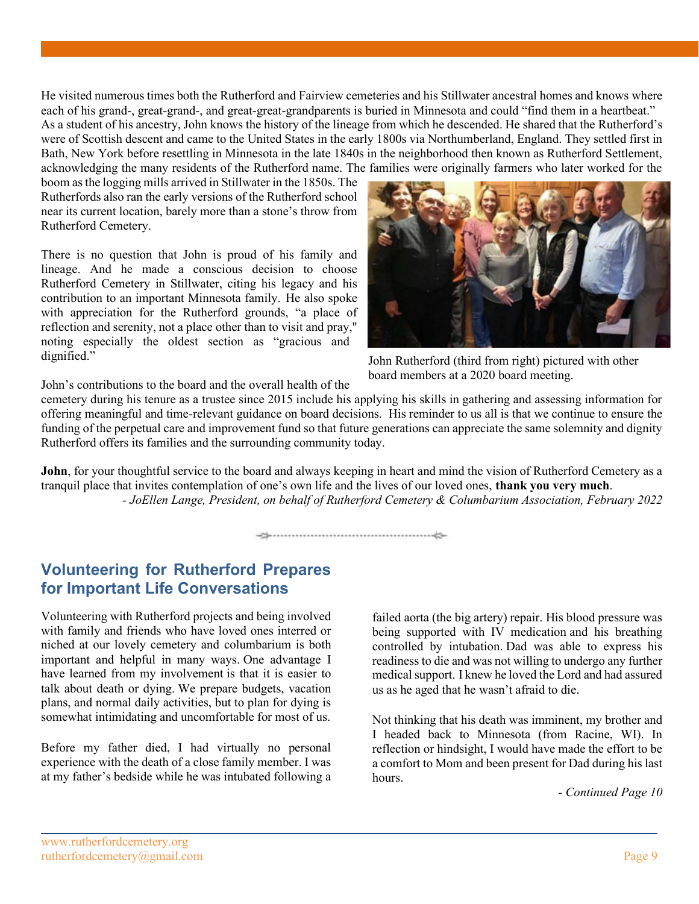He visited numerous times both the Rutherford and Fairview cemeteries and his Stillwater ancestral homes and knows where each of his grand-, great-grand-, and great-great-grandparents is buried in Minnesota and could "find them in a heartbeat." As a student of his ancestry, John knows the history of the lineage from which he descended. He shared that the Rutherford's were of Scottish descent and came to the United States in the early 1800s via Northumberland, England. They settled first in Bath, New York before resettling in Minnesota in the late 1840s in the neighborhood then known as Rutherford Settlement, acknowledging the many residents of the Rutherford name. The families were originally farmers who later worked for the

boom as the logging mills arrived in Stillwater in the 1850s. The Rutherfords also ran the early versions of the Rutherford school near its current location, barely more than a stone's throw from Rutherford Cemetery.

There is no question that John is proud of his family and lineage. And he made a conscious decision to choose Rutherford Cemetery in Stillwater, citing his legacy and his contribution to an important Minnesota family. He also spoke with appreciation for the Rutherford grounds, "a place of reflection and serenity, not a place other than to visit and pray," noting especially the oldest section as "gracious and dignified."



John Rutherford (third from right) pictured with other board members at a 2020 board meeting.

John's contributions to the board and the overall health of the

cemetery during his tenure as a trustee since 2015 include his applying his skills in gathering and assessing information for offering meaningful and time-relevant guidance on board decisions. His reminder to us all is that we continue to ensure the funding of the perpetual care and improvement fund so that future generations can appreciate the same solemnity and dignity Rutherford offers its families and the surrounding community today.

**John**, for your thoughtful service to the board and always keeping in heart and mind the vision of Rutherford Cemetery as a tranquil place that invites contemplation of one's own life and the lives of our loved ones, **thank you very much**. *- JoEllen Lange, President, on behalf of Rutherford Cemetery & Columbarium Association, February 2022*

### **Volunteering for Rutherford Prepares for Important Life Conversations**

Volunteering with Rutherford projects and being involved with family and friends who have loved ones interred or niched at our lovely cemetery and columbarium is both important and helpful in many ways. One advantage I have learned from my involvement is that it is easier to talk about death or dying. We prepare budgets, vacation plans, and normal daily activities, but to plan for dying is somewhat intimidating and uncomfortable for most of us.

Before my father died, I had virtually no personal experience with the death of a close family member. I was at my father's bedside while he was intubated following a

failed aorta (the big artery) repair. His blood pressure was being supported with IV medication and his breathing controlled by intubation. Dad was able to express his readiness to die and was not willing to undergo any further medical support. I knew he loved the Lord and had assured us as he aged that he wasn't afraid to die.

Not thinking that his death was imminent, my brother and I headed back to Minnesota (from Racine, WI). In reflection or hindsight, I would have made the effort to be a comfort to Mom and been present for Dad during his last hours.

*- Continued Page 10*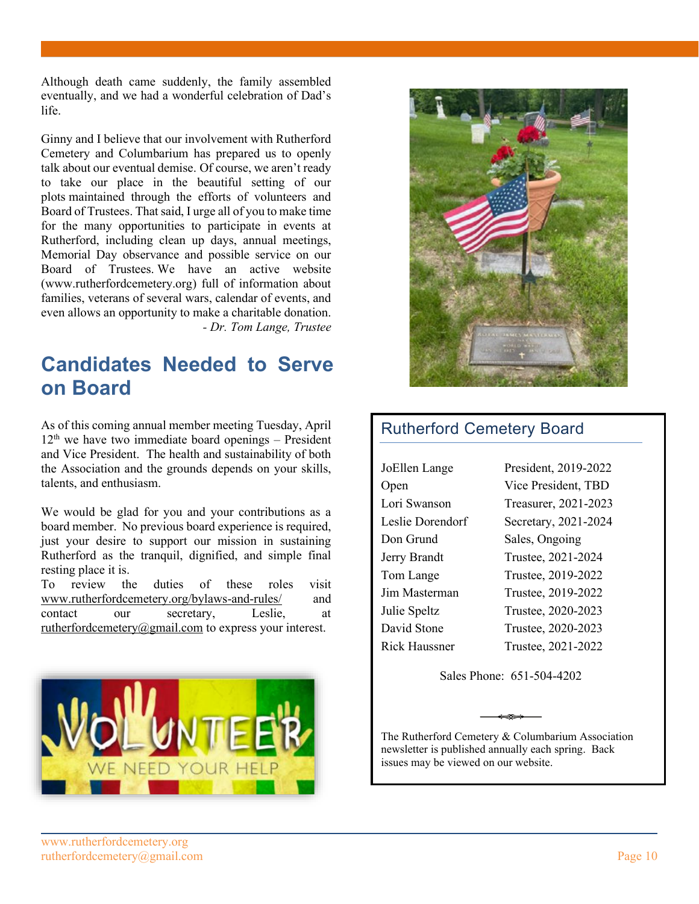Although death came suddenly, the family assembled eventually, and we had a wonderful celebration of Dad's life.

Ginny and I believe that our involvement with Rutherford Cemetery and Columbarium has prepared us to openly talk about our eventual demise. Of course, we aren't ready to take our place in the beautiful setting of our plots maintained through the efforts of volunteers and Board of Trustees. That said, I urge all of you to make time for the many opportunities to participate in events at Rutherford, including clean up days, annual meetings, Memorial Day observance and possible service on our Board of Trustees. We have an active website (www.rutherfordcemetery.org) full of information about families, veterans of several wars, calendar of events, and even allows an opportunity to make a charitable donation. *- Dr. Tom Lange, Trustee*

## **Candidates Needed to Serve on Board**

As of this coming annual member meeting Tuesday, April  $12<sup>th</sup>$  we have two immediate board openings – President and Vice President. The health and sustainability of both the Association and the grounds depends on your skills, talents, and enthusiasm.

We would be glad for you and your contributions as a board member. No previous board experience is required, just your desire to support our mission in sustaining Rutherford as the tranquil, dignified, and simple final resting place it is.

To review the duties of these roles visit www.rutherfordcemetery.org/bylaws-and-rules/ and contact our secretary, Leslie, at rutherfordcemetery@gmail.com to express your interest.





### Rutherford Cemetery Board

| JoEllen Lange    | President, 2019-2022 |
|------------------|----------------------|
| Open             | Vice President, TBD  |
| Lori Swanson     | Treasurer, 2021-2023 |
| Leslie Dorendorf | Secretary, 2021-2024 |
| Don Grund        | Sales, Ongoing       |
| Jerry Brandt     | Trustee, 2021-2024   |
| Tom Lange        | Trustee, 2019-2022   |
| Jim Masterman    | Trustee, 2019-2022   |
| Julie Speltz     | Trustee, 2020-2023   |
| David Stone      | Trustee, 2020-2023   |
| Rick Haussner    | Trustee, 2021-2022   |
|                  |                      |

Sales Phone: 651-504-4202

The Rutherford Cemetery & Columbarium Association newsletter is published annually each spring. Back issues may be viewed on our website.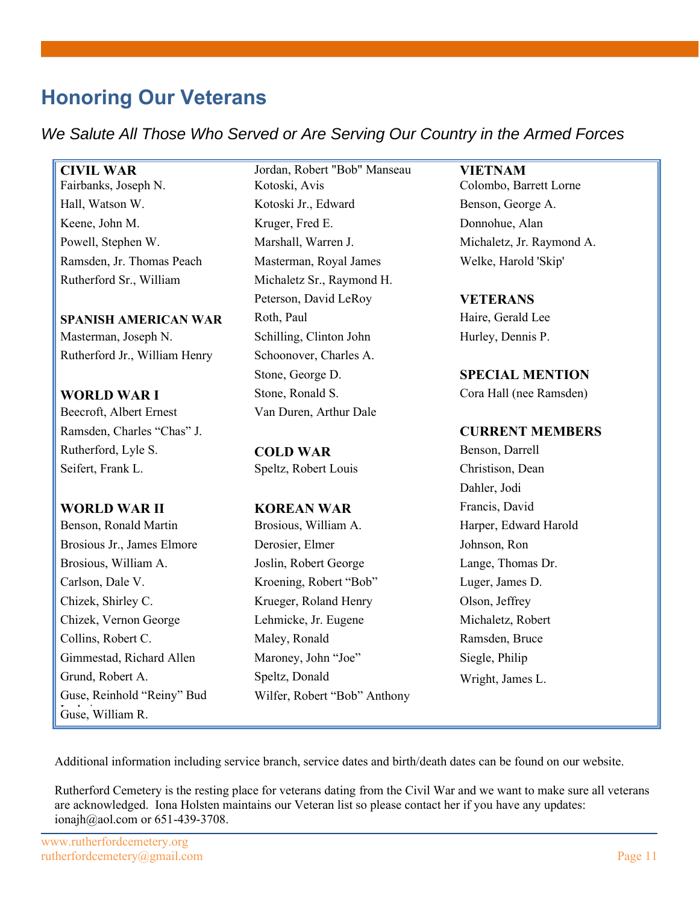# **Honoring Our Veterans**

*We Salute All Those Who Served or Are Serving Our Country in the Armed Forces*

Rutherford Sr., William Michaletz Sr., Raymond H.

**SPANISH AMERICAN WAR** Roth, Paul **Haire, Gerald Lee** Masterman, Joseph N. Schilling, Clinton John Hurley, Dennis P. Rutherford Jr., William Henry Schoonover, Charles A.

Beecroft, Albert Ernest Van Duren, Arthur Dale Ramsden, Charles "Chas" J. **CURRENT MEMBERS** Rutherford, Lyle S. **COLD WAR** Benson, Darrell Seifert, Frank L. Speltz, Robert Louis Christison, Dean

### **WORLD WAR II KOREAN WAR** Francis, David

Benson, Ronald Martin **Brosious, William A.** Harper, Edward Harold Guse, Reinhold "Reiny" Bud Guse, William R.

**CIVIL WAR** Jordan, Robert "Bob" Manseau **VIETNAM** Fairbanks, Joseph N. Kotoski, Avis Colombo, Barrett Lorne Hall, Watson W. **Kotoski Jr., Edward** Benson, George A. Keene, John M. Kruger, Fred E. Donnohue, Alan Powell, Stephen W. Marshall, Warren J. Michaletz, Jr. Raymond A. Ramsden, Jr. Thomas Peach Masterman, Royal James Welke, Harold 'Skip' Peterson, David LeRoy **VETERANS** Stone, George D. **SPECIAL MENTION WORLD WAR I** Stone, Ronald S. Stone Cora Hall (nee Ramsden)

Brosious Jr., James Elmore Derosier, Elmer Johnson, Ron Brosious, William A. **I** Joslin, Robert George Lange, Thomas Dr. Carlson, Dale V. Kroening, Robert "Bob" Luger, James D. Chizek, Shirley C. Krueger, Roland Henry Olson, Jeffrey Chizek, Vernon George Lehmicke, Jr. Eugene Michaletz, Robert Collins, Robert C. Maley, Ronald Ramsden, Bruce Gimmestad, Richard Allen Maroney, John "Joe" Siegle, Philip Grund, Robert A. Speltz, Donald Wright, James L. Wilfer, Robert "Bob" Anthony

Dahler, Jodi

Additional information including service branch, service dates and birth/death dates can be found on our website.

Rutherford Cemetery is the resting place for veterans dating from the Civil War and we want to make sure all veterans are acknowledged. Iona Holsten maintains our Veteran list so please contact her if you have any updates: ionajh@aol.com or 651-439-3708.